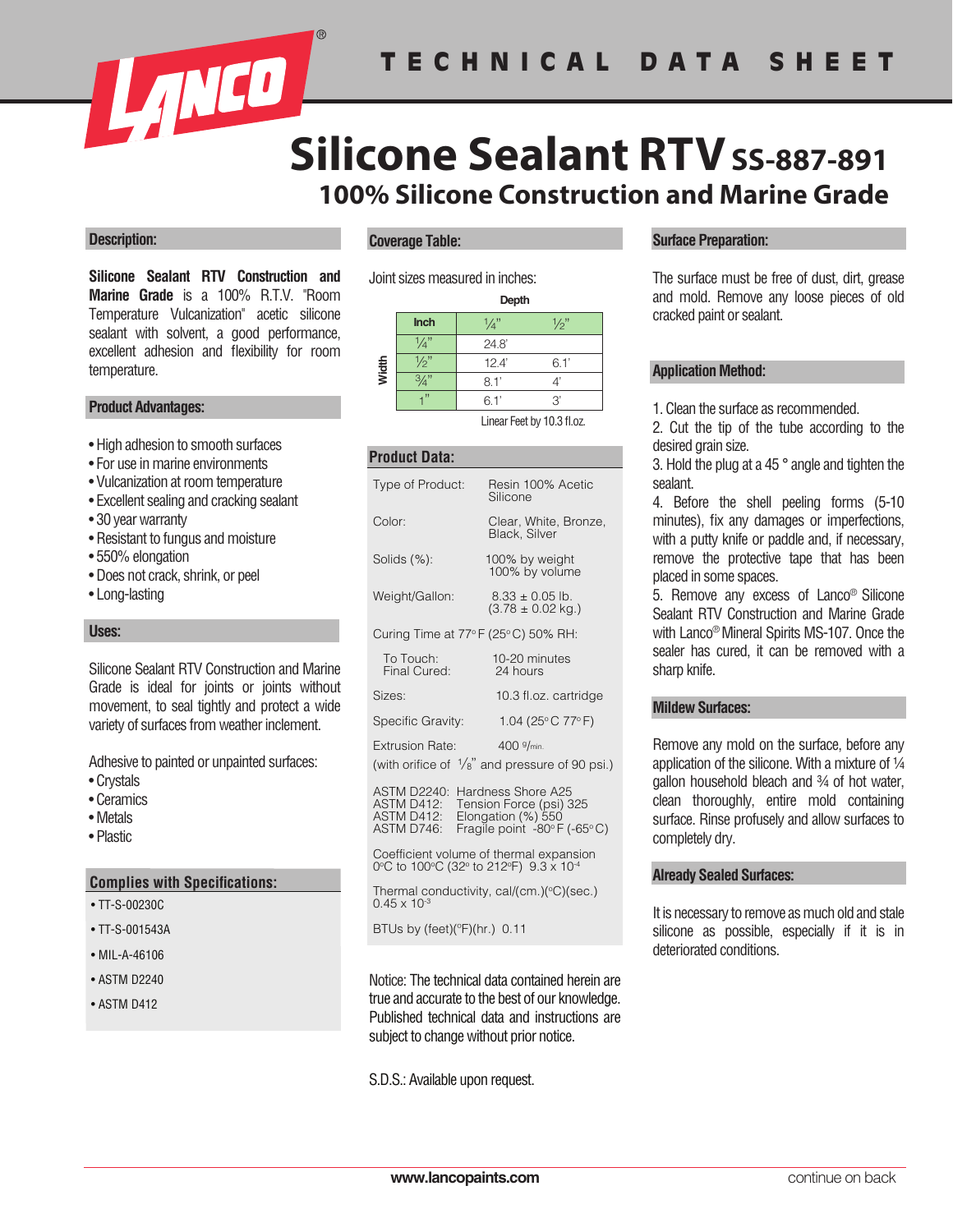

# **100% Silicone Construction and Marine Grade Silicone Sealant RTV** SS-887-891

#### **Description:**

**Silicone Sealant RTV Construction and Marine Grade** is a 100% R.T.V. "Room Temperature Vulcanization" acetic silicone sealant with solvent, a good performance, excellent adhesion and flexibility for room temperature.

#### **Product Advantages:**

- High adhesion to smooth surfaces
- For use in marine environments
- Vulcanization at room temperature
- Excellent sealing and cracking sealant
- 30 year warranty
- Resistant to fungus and moisture
- 550% elongation
- Does not crack, shrink, or peel
- Long-lasting

#### **Uses:**

Silicone Sealant RTV Construction and Marine Grade is ideal for joints or joints without movement, to seal tightly and protect a wide variety of surfaces from weather inclement.

Adhesive to painted or unpainted surfaces:

- Crystals
- Ceramics
- Metals
- Plastic

#### **Complies with Specifications:**

- TT-S-00230C
- TT-S-001543A
- MIL-A-46106
- ASTM D2240
- ASTM D412

#### **Coverage Table:**

Joint sizes measured in inches:

|       | Depth             |                 |      |
|-------|-------------------|-----------------|------|
|       | Inch              | $\frac{1}{4}$ " | 1⁄2" |
|       | $\Lambda_{\rm n}$ | 24.8'           |      |
| Width | $\sqrt{2}$        | 12.4'           | 6.1' |
|       |                   | 8.1'            |      |
|       |                   | 6.1'            | 3'   |
|       |                   |                 |      |

Linear Feet by 10.3 fl.oz.

## **Product Data:**

| Type of Product:                                                          | Resin 100% Acetic<br>Silicone                                              |  |  |
|---------------------------------------------------------------------------|----------------------------------------------------------------------------|--|--|
| Color:                                                                    | Clear, White, Bronze,<br><b>Black, Silver</b>                              |  |  |
| Solids (%):                                                               | 100% by weight<br>100% by volume                                           |  |  |
| Weight/Gallon:                                                            | $8.33 \pm 0.05$ lb.<br>$(3.78 \pm 0.02 \text{ kg.})$                       |  |  |
| Curing Time at $77^{\circ}$ F (25 $^{\circ}$ C) 50% RH:                   |                                                                            |  |  |
| To Touch:<br>Final Cured:                                                 | 10-20 minutes<br>24 hours                                                  |  |  |
| Sizes:                                                                    | 10.3 fl.oz. cartridge                                                      |  |  |
| Specific Gravity:                                                         | 1.04 (25°C 77°F)                                                           |  |  |
| <b>Extrusion Rate:</b>                                                    | 400 $9/m$ in.<br>(with orifice of $\frac{1}{8}$ " and pressure of 90 psi.) |  |  |
| ASTM D2240: Hardness Shore A25<br>Tension Force (psi) 325<br>$ASTM$ D412. |                                                                            |  |  |

ASTM D412: Tension Force (psi) 325 ASTM D412: Elongation (%) 550<br>ASTM D746: Fragile point -80°F (-65°C)

Coefficient volume of thermal expansion 0°C to 100°C (32° to 212°F) 9.3 x 10<sup>-4</sup>

Thermal conductivity, cal/(cm.) $(^{\circ}C)$ (sec.)  $0.45 \times 10^{-3}$ 

BTUs by (feet)(ºF)(hr.) 0.11

Notice: The technical data contained herein are true and accurate to the best of our knowledge. Published technical data and instructions are subject to change without prior notice.

#### S.D.S.: Available upon request.

#### **Surface Preparation:**

The surface must be free of dust, dirt, grease and mold. Remove any loose pieces of old cracked paint or sealant.

#### **Application Method:**

1. Clean the surface as recommended.

2. Cut the tip of the tube according to the desired grain size.

3. Hold the plug at a 45 ° angle and tighten the sealant.

4. Before the shell peeling forms (5-10 minutes), fix any damages or imperfections, with a putty knife or paddle and, if necessary, remove the protective tape that has been placed in some spaces.

5. Remove any excess of Lanco® Silicone Sealant RTV Construction and Marine Grade with Lanco® Mineral Spirits MS-107. Once the sealer has cured, it can be removed with a sharp knife.

#### **Mildew Surfaces:**

Remove any mold on the surface, before any application of the silicone. With a mixture of ¼ gallon household bleach and 34 of hot water. clean thoroughly, entire mold containing surface. Rinse profusely and allow surfaces to completely dry.

#### **Already Sealed Surfaces:**

It is necessary to remove as much old and stale silicone as possible, especially if it is in deteriorated conditions.